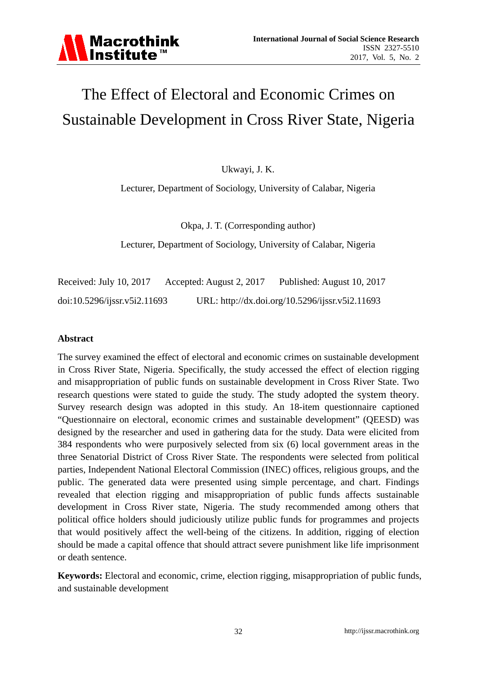

# The Effect of Electoral and Economic Crimes on Sustainable Development in Cross River State, Nigeria

Ukwayi, J. K.

Lecturer, Department of Sociology, University of Calabar, Nigeria

Okpa, J. T. (Corresponding author)

Lecturer, Department of Sociology, University of Calabar, Nigeria

Received: July 10, 2017 Accepted: August 2, 2017 Published: August 10, 2017 doi:10.5296/ijssr.v5i2.11693 URL: http://dx.doi.org/10.5296/ijssr.v5i2.11693

#### **Abstract**

The survey examined the effect of electoral and economic crimes on sustainable development in Cross River State, Nigeria. Specifically, the study accessed the effect of election rigging and misappropriation of public funds on sustainable development in Cross River State. Two research questions were stated to guide the study. The study adopted the system theory. Survey research design was adopted in this study. An 18-item questionnaire captioned "Questionnaire on electoral, economic crimes and sustainable development" (QEESD) was designed by the researcher and used in gathering data for the study. Data were elicited from 384 respondents who were purposively selected from six (6) local government areas in the three Senatorial District of Cross River State. The respondents were selected from political parties, Independent National Electoral Commission (INEC) offices, religious groups, and the public. The generated data were presented using simple percentage, and chart. Findings revealed that election rigging and misappropriation of public funds affects sustainable development in Cross River state, Nigeria. The study recommended among others that political office holders should judiciously utilize public funds for programmes and projects that would positively affect the well-being of the citizens. In addition, rigging of election should be made a capital offence that should attract severe punishment like life imprisonment or death sentence.

**Keywords:** Electoral and economic, crime, election rigging, misappropriation of public funds, and sustainable development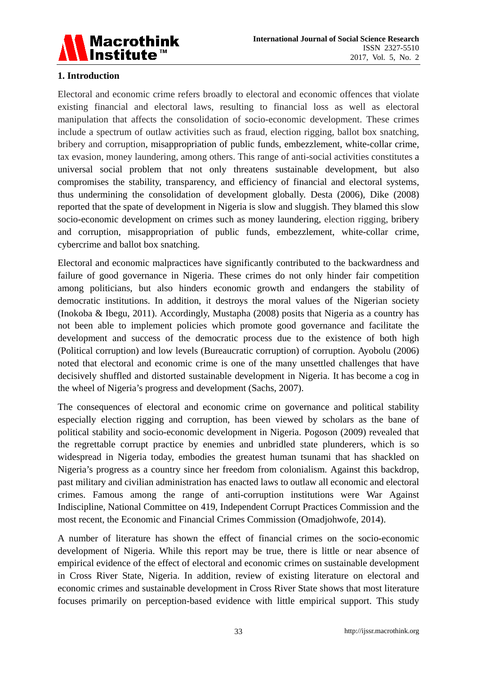

## **1. Introduction**

Electoral and economic crime refers broadly to electoral and economic offences that violate existing financial and electoral laws, resulting to financial loss as well as electoral manipulation that affects the consolidation of socio-economic development. These crimes include a spectrum of outlaw activities such as fraud, election rigging, ballot box snatching, bribery and corruption, misappropriation of public funds, embezzlement, white-collar crime, tax evasion, money laundering, among others. This range of anti-social activities constitutes a universal social problem that not only threatens sustainable development, but also compromises the stability, transparency, and efficiency of financial and electoral systems, thus undermining the consolidation of development globally. Desta (2006), Dike (2008) reported that the spate of development in Nigeria is slow and sluggish. They blamed this slow socio-economic development on crimes such as money laundering, election rigging, bribery and corruption, misappropriation of public funds, embezzlement, white-collar crime, cybercrime and ballot box snatching.

Electoral and economic malpractices have significantly contributed to the backwardness and failure of good governance in Nigeria. These crimes do not only hinder fair competition among politicians, but also hinders economic growth and endangers the stability of democratic institutions. In addition, it destroys the moral values of the Nigerian society (Inokoba & Ibegu, 2011). Accordingly, Mustapha (2008) posits that Nigeria as a country has not been able to implement policies which promote good governance and facilitate the development and success of the democratic process due to the existence of both high (Political corruption) and low levels (Bureaucratic corruption) of corruption. Ayobolu (2006) noted that electoral and economic crime is one of the many unsettled challenges that have decisively shuffled and distorted sustainable development in Nigeria. It has become a cog in the wheel of Nigeria's progress and development (Sachs, 2007).

The consequences of electoral and economic crime on governance and political stability especially election rigging and corruption, has been viewed by scholars as the bane of political stability and socio-economic development in Nigeria. Pogoson (2009) revealed that the regrettable corrupt practice by enemies and unbridled state plunderers, which is so widespread in Nigeria today, embodies the greatest human tsunami that has shackled on Nigeria's progress as a country since her freedom from colonialism. Against this backdrop, past military and civilian administration has enacted laws to outlaw all economic and electoral crimes. Famous among the range of anti-corruption institutions were War Against Indiscipline, National Committee on 419, Independent Corrupt Practices Commission and the most recent, the Economic and Financial Crimes Commission (Omadjohwofe, 2014).

A number of literature has shown the effect of financial crimes on the socio-economic development of Nigeria. While this report may be true, there is little or near absence of empirical evidence of the effect of electoral and economic crimes on sustainable development in Cross River State, Nigeria. In addition, review of existing literature on electoral and economic crimes and sustainable development in Cross River State shows that most literature focuses primarily on perception-based evidence with little empirical support. This study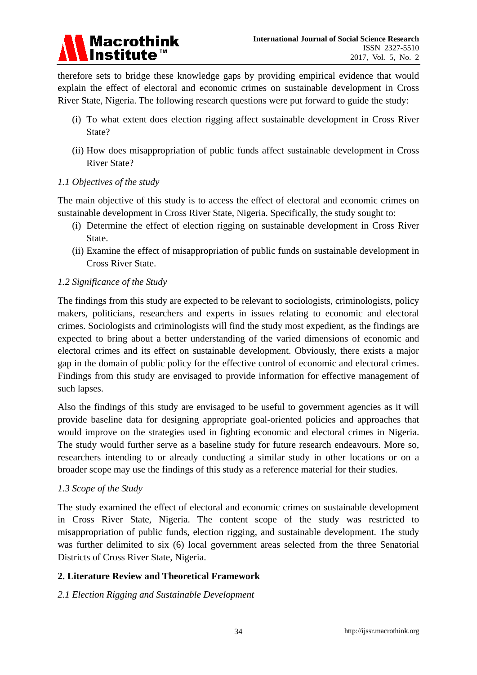

therefore sets to bridge these knowledge gaps by providing empirical evidence that would explain the effect of electoral and economic crimes on sustainable development in Cross River State, Nigeria. The following research questions were put forward to guide the study:

- (i) To what extent does election rigging affect sustainable development in Cross River State?
- (ii) How does misappropriation of public funds affect sustainable development in Cross River State?

## *1.1 Objectives of the study*

The main objective of this study is to access the effect of electoral and economic crimes on sustainable development in Cross River State, Nigeria. Specifically, the study sought to:

- (i) Determine the effect of election rigging on sustainable development in Cross River State.
- (ii) Examine the effect of misappropriation of public funds on sustainable development in Cross River State.

# *1.2 Significance of the Study*

The findings from this study are expected to be relevant to sociologists, criminologists, policy makers, politicians, researchers and experts in issues relating to economic and electoral crimes. Sociologists and criminologists will find the study most expedient, as the findings are expected to bring about a better understanding of the varied dimensions of economic and electoral crimes and its effect on sustainable development. Obviously, there exists a major gap in the domain of public policy for the effective control of economic and electoral crimes. Findings from this study are envisaged to provide information for effective management of such lapses.

Also the findings of this study are envisaged to be useful to government agencies as it will provide baseline data for designing appropriate goal-oriented policies and approaches that would improve on the strategies used in fighting economic and electoral crimes in Nigeria. The study would further serve as a baseline study for future research endeavours. More so, researchers intending to or already conducting a similar study in other locations or on a broader scope may use the findings of this study as a reference material for their studies.

## *1.3 Scope of the Study*

The study examined the effect of electoral and economic crimes on sustainable development in Cross River State, Nigeria. The content scope of the study was restricted to misappropriation of public funds, election rigging, and sustainable development. The study was further delimited to six (6) local government areas selected from the three Senatorial Districts of Cross River State, Nigeria.

## **2. Literature Review and Theoretical Framework**

## *2.1 Election Rigging and Sustainable Development*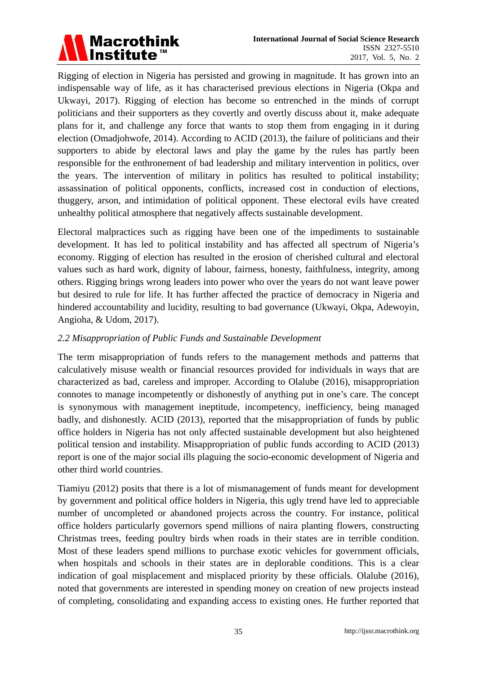

Rigging of election in Nigeria has persisted and growing in magnitude. It has grown into an indispensable way of life, as it has characterised previous elections in Nigeria (Okpa and Ukwayi, 2017). Rigging of election has become so entrenched in the minds of corrupt politicians and their supporters as they covertly and overtly discuss about it, make adequate plans for it, and challenge any force that wants to stop them from engaging in it during election (Omadjohwofe, 2014). According to ACID (2013), the failure of politicians and their supporters to abide by electoral laws and play the game by the rules has partly been responsible for the enthronement of bad leadership and military intervention in politics, over the years. The intervention of military in politics has resulted to political instability; assassination of political opponents, conflicts, increased cost in conduction of elections, thuggery, arson, and intimidation of political opponent. These electoral evils have created unhealthy political atmosphere that negatively affects sustainable development.

Electoral malpractices such as rigging have been one of the impediments to sustainable development. It has led to political instability and has affected all spectrum of Nigeria's economy. Rigging of election has resulted in the erosion of cherished cultural and electoral values such as hard work, dignity of labour, fairness, honesty, faithfulness, integrity, among others. Rigging brings wrong leaders into power who over the years do not want leave power but desired to rule for life. It has further affected the practice of democracy in Nigeria and hindered accountability and lucidity, resulting to bad governance (Ukwayi, Okpa, Adewoyin, Angioha, & Udom, 2017).

## *2.2 Misappropriation of Public Funds and Sustainable Development*

The term misappropriation of funds refers to the management methods and patterns that calculatively misuse wealth or financial resources provided for individuals in ways that are characterized as bad, careless and improper. According to Olalube (2016), misappropriation connotes to manage incompetently or dishonestly of anything put in one's care. The concept is synonymous with management ineptitude, incompetency, inefficiency, being managed badly, and dishonestly. ACID (2013), reported that the misappropriation of funds by public office holders in Nigeria has not only affected sustainable development but also heightened political tension and instability. Misappropriation of public funds according to ACID (2013) report is one of the major social ills plaguing the socio-economic development of Nigeria and other third world countries.

Tiamiyu (2012) posits that there is a lot of mismanagement of funds meant for development by government and political office holders in Nigeria, this ugly trend have led to appreciable number of uncompleted or abandoned projects across the country. For instance, political office holders particularly governors spend millions of naira planting flowers, constructing Christmas trees, feeding poultry birds when roads in their states are in terrible condition. Most of these leaders spend millions to purchase exotic vehicles for government officials, when hospitals and schools in their states are in deplorable conditions. This is a clear indication of goal misplacement and misplaced priority by these officials. Olalube (2016), noted that governments are interested in spending money on creation of new projects instead of completing, consolidating and expanding access to existing ones. He further reported that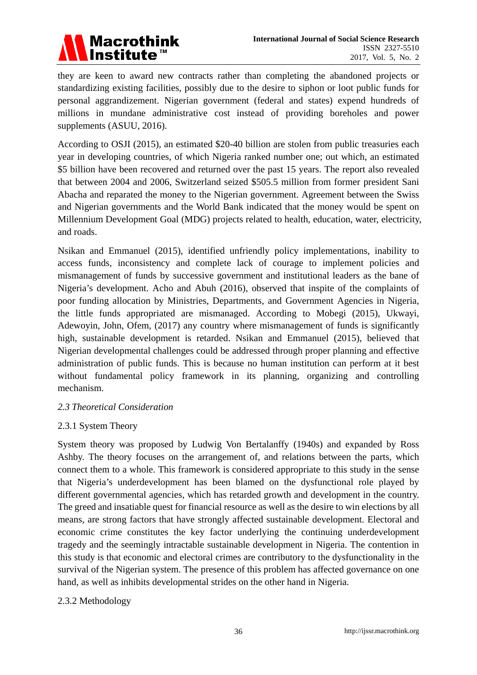

they are keen to award new contracts rather than completing the abandoned projects or standardizing existing facilities, possibly due to the desire to siphon or loot public funds for personal aggrandizement. Nigerian government (federal and states) expend hundreds of millions in mundane administrative cost instead of providing boreholes and power supplements (ASUU, 2016).

According to OSJI (2015), an estimated \$20-40 billion are stolen from public treasuries each year in developing countries, of which Nigeria ranked number one; out which, an estimated \$5 billion have been recovered and returned over the past 15 years. The report also revealed that between 2004 and 2006, Switzerland seized \$505.5 million from former president Sani Abacha and reparated the money to the Nigerian government. Agreement between the Swiss and Nigerian governments and the World Bank indicated that the money would be spent on Millennium Development Goal (MDG) projects related to health, education, water, electricity, and roads.

Nsikan and Emmanuel (2015), identified unfriendly policy implementations, inability to access funds, inconsistency and complete lack of courage to implement policies and mismanagement of funds by successive government and institutional leaders as the bane of Nigeria's development. Acho and Abuh (2016), observed that inspite of the complaints of poor funding allocation by Ministries, Departments, and Government Agencies in Nigeria, the little funds appropriated are mismanaged. According to Mobegi (2015), Ukwayi, Adewoyin, John, Ofem, (2017) any country where mismanagement of funds is significantly high, sustainable development is retarded. Nsikan and Emmanuel (2015), believed that Nigerian developmental challenges could be addressed through proper planning and effective administration of public funds. This is because no human institution can perform at it best without fundamental policy framework in its planning, organizing and controlling mechanism.

#### *2.3 Theoretical Consideration*

## 2.3.1 System Theory

System theory was proposed by Ludwig Von Bertalanffy (1940s) and expanded by Ross Ashby. The theory focuses on the arrangement of, and relations between the parts, which connect them to a whole. This framework is considered appropriate to this study in the sense that Nigeria's underdevelopment has been blamed on the dysfunctional role played by different governmental agencies, which has retarded growth and development in the country. The greed and insatiable quest for financial resource as well as the desire to win elections by all means, are strong factors that have strongly affected sustainable development. Electoral and economic crime constitutes the key factor underlying the continuing underdevelopment tragedy and the seemingly intractable sustainable development in Nigeria. The contention in this study is that economic and electoral crimes are contributory to the dysfunctionality in the survival of the Nigerian system. The presence of this problem has affected governance on one hand, as well as inhibits developmental strides on the other hand in Nigeria.

#### 2.3.2 Methodology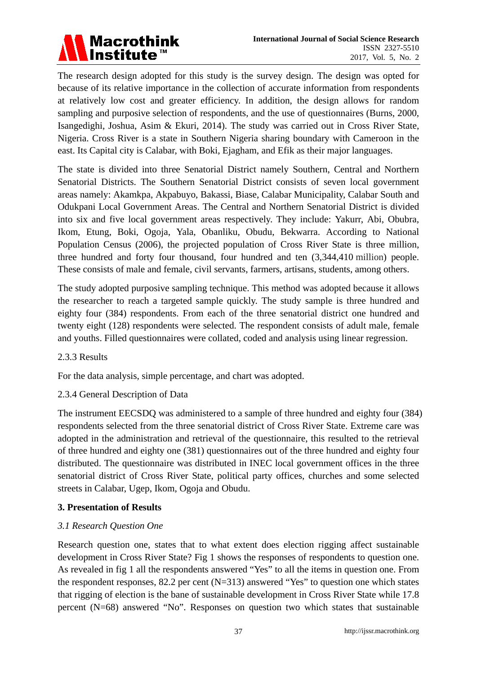

The research design adopted for this study is the survey design. The design was opted for because of its relative importance in the collection of accurate information from respondents at relatively low cost and greater efficiency. In addition, the design allows for random sampling and purposive selection of respondents, and the use of questionnaires (Burns, 2000, Isangedighi, Joshua, Asim & Ekuri, 2014). The study was carried out in Cross River State, Nigeria. Cross River is a state in Southern Nigeria sharing boundary with Cameroon in the east. Its Capital city is Calabar, with Boki, Ejagham, and Efik as their major languages.

The state is divided into three Senatorial District namely Southern, Central and Northern Senatorial Districts. The Southern Senatorial District consists of seven local government areas namely: Akamkpa, Akpabuyo, Bakassi, Biase, Calabar Municipality, Calabar South and Odukpani Local Government Areas. The Central and Northern Senatorial District is divided into six and five local government areas respectively. They include: Yakurr, Abi, Obubra, Ikom, Etung, Boki, Ogoja, Yala, Obanliku, Obudu, Bekwarra. According to National Population Census (2006), the projected population of Cross River State is three million, three hundred and forty four thousand, four hundred and ten (3,344,410 million) people. These consists of male and female, civil servants, farmers, artisans, students, among others.

The study adopted purposive sampling technique. This method was adopted because it allows the researcher to reach a targeted sample quickly. The study sample is three hundred and eighty four (384) respondents. From each of the three senatorial district one hundred and twenty eight (128) respondents were selected. The respondent consists of adult male, female and youths. Filled questionnaires were collated, coded and analysis using linear regression.

## 2.3.3 Results

For the data analysis, simple percentage, and chart was adopted.

## 2.3.4 General Description of Data

The instrument EECSDQ was administered to a sample of three hundred and eighty four (384) respondents selected from the three senatorial district of Cross River State. Extreme care was adopted in the administration and retrieval of the questionnaire, this resulted to the retrieval of three hundred and eighty one (381) questionnaires out of the three hundred and eighty four distributed. The questionnaire was distributed in INEC local government offices in the three senatorial district of Cross River State, political party offices, churches and some selected streets in Calabar, Ugep, Ikom, Ogoja and Obudu.

#### **3. Presentation of Results**

#### *3.1 Research Question One*

Research question one, states that to what extent does election rigging affect sustainable development in Cross River State? Fig 1 shows the responses of respondents to question one. As revealed in fig 1 all the respondents answered "Yes" to all the items in question one. From the respondent responses, 82.2 per cent  $(N=313)$  answered "Yes" to question one which states that rigging of election is the bane of sustainable development in Cross River State while 17.8 percent (N=68) answered "No". Responses on question two which states that sustainable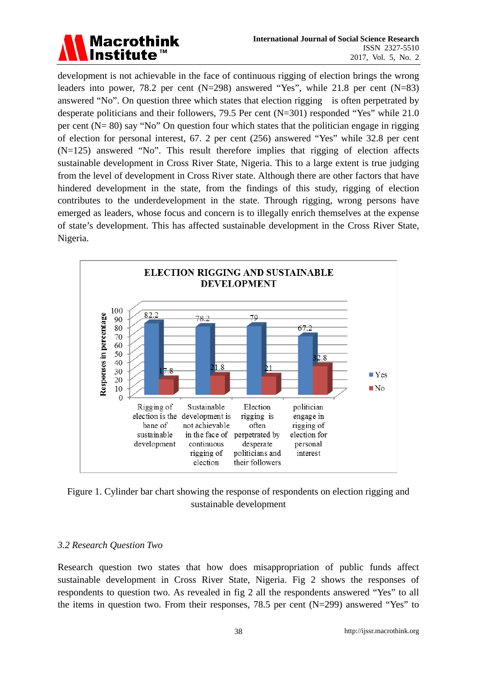

development is not achievable in the face of continuous rigging of election brings the wrong leaders into power, 78.2 per cent (N=298) answered "Yes", while 21.8 per cent (N=83) answered "No". On question three which states that election rigging is often perpetrated by desperate politicians and their followers, 79.5 Per cent (N=301) responded "Yes" while 21.0 per cent  $(N= 80)$  say "No" On question four which states that the politician engage in rigging of election for personal interest, 67. 2 per cent (256) answered "Yes" while 32.8 per cent (N=125) answered "No". This result therefore implies that rigging of election affects sustainable development in Cross River State, Nigeria. This to a large extent is true judging from the level of development in Cross River state. Although there are other factors that have hindered development in the state, from the findings of this study, rigging of election contributes to the underdevelopment in the state. Through rigging, wrong persons have emerged as leaders, whose focus and concern is to illegally enrich themselves at the expense of state's development. This has affected sustainable development in the Cross River State, Nigeria.



Figure 1. Cylinder bar chart showing the response of respondents on election rigging and sustainable development

#### *3.2 Research Question Two*

Research question two states that how does misappropriation of public funds affect sustainable development in Cross River State, Nigeria. Fig 2 shows the responses of respondents to question two. As revealed in fig 2 all the respondents answered "Yes" to all the items in question two. From their responses, 78.5 per cent  $(N=299)$  answered "Yes" to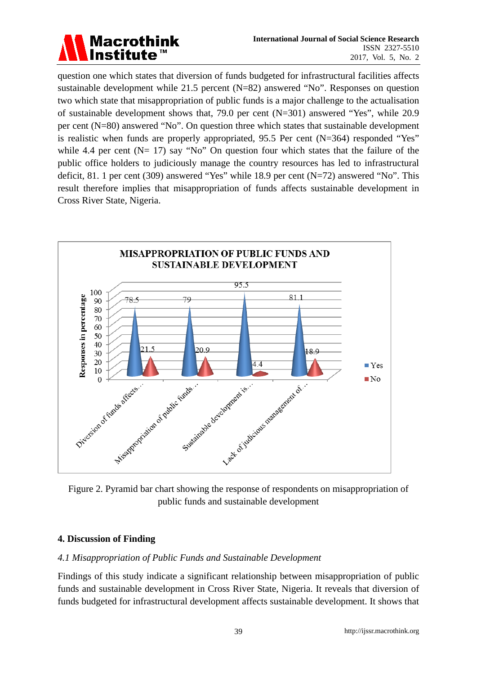

question one which states that diversion of funds budgeted for infrastructural facilities affects sustainable development while 21.5 percent (N=82) answered "No". Responses on question two which state that misappropriation of public funds is a major challenge to the actualisation of sustainable development shows that, 79.0 per cent (N=301) answered "Yes", while 20.9 per cent (N=80) answered "No". On question three which states that sustainable development is realistic when funds are properly appropriated, 95.5 Per cent (N=364) responded "Yes" while 4.4 per cent  $(N= 17)$  say "No" On question four which states that the failure of the public office holders to judiciously manage the country resources has led to infrastructural deficit, 81. 1 per cent (309) answered "Yes" while 18.9 per cent (N=72) answered "No". This result therefore implies that misappropriation of funds affects sustainable development in Cross River State, Nigeria.



Figure 2. Pyramid bar chart showing the response of respondents on misappropriation of public funds and sustainable development

## **4. Discussion of Finding**

#### *4.1 Misappropriation of Public Funds and Sustainable Development*

Findings of this study indicate a significant relationship between misappropriation of public funds and sustainable development in Cross River State, Nigeria. It reveals that diversion of funds budgeted for infrastructural development affects sustainable development. It shows that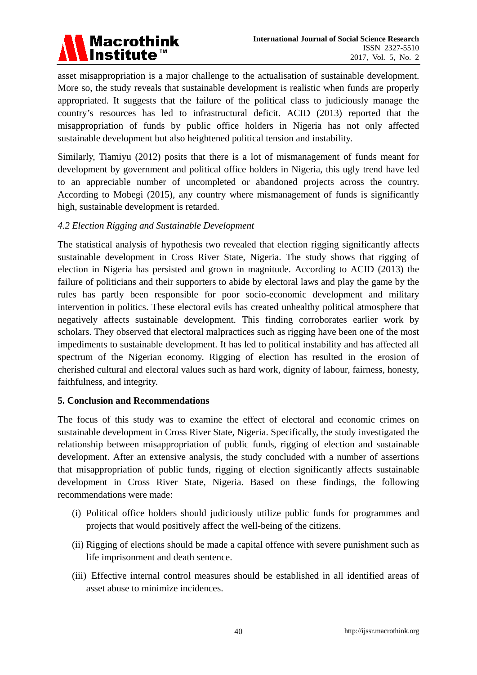

asset misappropriation is a major challenge to the actualisation of sustainable development. More so, the study reveals that sustainable development is realistic when funds are properly appropriated. It suggests that the failure of the political class to judiciously manage the country's resources has led to infrastructural deficit. ACID (2013) reported that the misappropriation of funds by public office holders in Nigeria has not only affected sustainable development but also heightened political tension and instability.

Similarly, Tiamiyu (2012) posits that there is a lot of mismanagement of funds meant for development by government and political office holders in Nigeria, this ugly trend have led to an appreciable number of uncompleted or abandoned projects across the country. According to Mobegi (2015), any country where mismanagement of funds is significantly high, sustainable development is retarded.

## *4.2 Election Rigging and Sustainable Development*

The statistical analysis of hypothesis two revealed that election rigging significantly affects sustainable development in Cross River State, Nigeria. The study shows that rigging of election in Nigeria has persisted and grown in magnitude. According to ACID (2013) the failure of politicians and their supporters to abide by electoral laws and play the game by the rules has partly been responsible for poor socio-economic development and military intervention in politics. These electoral evils has created unhealthy political atmosphere that negatively affects sustainable development. This finding corroborates earlier work by scholars. They observed that electoral malpractices such as rigging have been one of the most impediments to sustainable development. It has led to political instability and has affected all spectrum of the Nigerian economy. Rigging of election has resulted in the erosion of cherished cultural and electoral values such as hard work, dignity of labour, fairness, honesty, faithfulness, and integrity.

#### **5. Conclusion and Recommendations**

The focus of this study was to examine the effect of electoral and economic crimes on sustainable development in Cross River State, Nigeria. Specifically, the study investigated the relationship between misappropriation of public funds, rigging of election and sustainable development. After an extensive analysis, the study concluded with a number of assertions that misappropriation of public funds, rigging of election significantly affects sustainable development in Cross River State, Nigeria. Based on these findings, the following recommendations were made:

- (i) Political office holders should judiciously utilize public funds for programmes and projects that would positively affect the well-being of the citizens.
- (ii) Rigging of elections should be made a capital offence with severe punishment such as life imprisonment and death sentence.
- (iii) Effective internal control measures should be established in all identified areas of asset abuse to minimize incidences.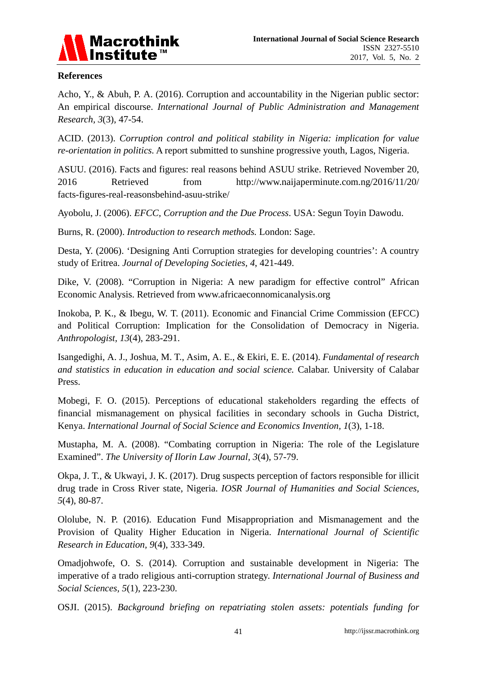

#### **References**

Acho, Y., & Abuh, P. A. (2016). Corruption and accountability in the Nigerian public sector: An empirical discourse. *International Journal of Public Administration and Management Research, 3*(3), 47-54.

ACID. (2013). *Corruption control and political stability in Nigeria: implication for value re-orientation in politics.* A report submitted to sunshine progressive youth, Lagos, Nigeria.

ASUU. (2016). Facts and figures: real reasons behind ASUU strike. Retrieved November 20, 2016 Retrieved from http://www.naijaperminute.com.ng/2016/11/20/ facts-figures-real-reasonsbehind-asuu-strike/

Ayobolu, J. (2006). *EFCC, Corruption and the Due Process*. USA: Segun Toyin Dawodu.

Burns, R. (2000). *Introduction to research methods.* London: Sage.

Desta, Y. (2006). 'Designing Anti Corruption strategies for developing countries': A country study of Eritrea. *Journal of Developing Societies, 4*, 421-449.

Dike, V. (2008). "Corruption in Nigeria: A new paradigm for effective control" African Economic Analysis. Retrieved from www.africaeconnomicanalysis.org

Inokoba, P. K., & Ibegu, W. T. (2011). Economic and Financial Crime Commission (EFCC) and Political Corruption: Implication for the Consolidation of Democracy in Nigeria. *Anthropologist, 13*(4), 283-291.

Isangedighi, A. J., Joshua, M. T., Asim, A. E., & Ekiri, E. E. (2014). *Fundamental of research and statistics in education in education and social science.* Calabar. University of Calabar Press.

Mobegi, F. O. (2015). Perceptions of educational stakeholders regarding the effects of financial mismanagement on physical facilities in secondary schools in Gucha District, Kenya. *International Journal of Social Science and Economics Invention, 1*(3), 1-18.

Mustapha, M. A. (2008). "Combating corruption in Nigeria: The role of the Legislature Examined". *The University of Ilorin Law Journal, 3*(4), 57-79.

Okpa, J. T., & Ukwayi, J. K. (2017). Drug suspects perception of factors responsible for illicit drug trade in Cross River state, Nigeria. *IOSR Journal of Humanities and Social Sciences, 5*(4), 80-87.

Ololube, N. P. (2016). Education Fund Misappropriation and Mismanagement and the Provision of Quality Higher Education in Nigeria. *International Journal of Scientific Research in Education, 9*(4), 333-349.

Omadjohwofe, O. S. (2014). Corruption and sustainable development in Nigeria: The imperative of a trado religious anti-corruption strategy. *International Journal of Business and Social Sciences, 5*(1), 223-230.

OSJI. (2015). *Background briefing on repatriating stolen assets: potentials funding for*